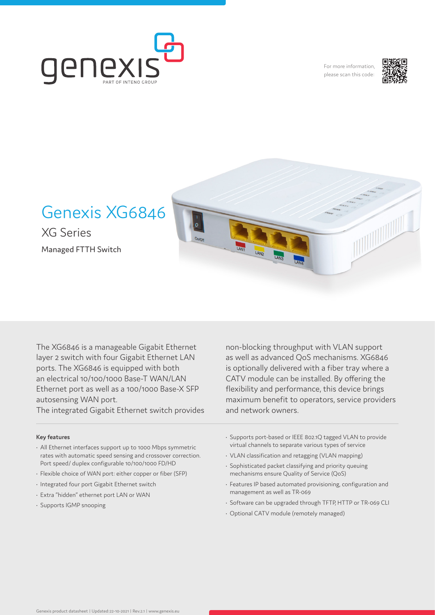

For more information, please scan this code:



# Genexis XG6846

XG Series Managed FTTH Switch



The XG6846 is a manageable Gigabit Ethernet layer 2 switch with four Gigabit Ethernet LAN ports. The XG6846 is equipped with both an electrical 10/100/1000 Base-T WAN/LAN Ethernet port as well as a 100/1000 Base-X SFP autosensing WAN port.

The integrated Gigabit Ethernet switch provides

## **Key features**

- All Ethernet interfaces support up to 1000 Mbps symmetric rates with automatic speed sensing and crossover correction. Port speed/ duplex configurable 10/100/1000 FD/HD
- Flexible choice of WAN port: either copper or fiber (SFP)
- Integrated four port Gigabit Ethernet switch
- Extra "hidden" ethernet port LAN or WAN
- Supports IGMP snooping

non-blocking throughput with VLAN support as well as advanced QoS mechanisms. XG6846 is optionally delivered with a fiber tray where a CATV module can be installed. By offering the flexibility and performance, this device brings maximum benefit to operators, service providers and network owners.

- Supports port-based or IEEE 802.1Q tagged VLAN to provide virtual channels to separate various types of service
- VLAN classification and retagging (VLAN mapping)
- Sophisticated packet classifying and priority queuing mechanisms ensure Quality of Service (QoS)
- Features IP based automated provisioning, configuration and management as well as TR-069
- Software can be upgraded through TFTP, HTTP or TR-069 CLI
- Optional CATV module (remotely managed)